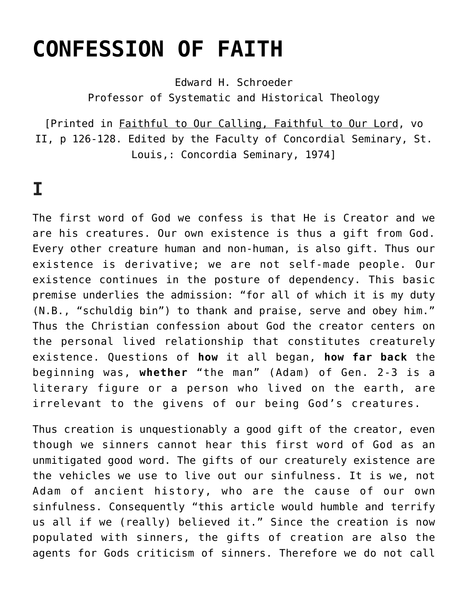## **[CONFESSION OF FAITH](https://crossings.org/confession-of-faith/)**

Edward H. Schroeder Professor of Systematic and Historical Theology

[Printed in Faithful to Our Calling, Faithful to Our Lord, vo II, p 126-128. Edited by the Faculty of Concordial Seminary, St. Louis,: Concordia Seminary, 1974]

## **I**

The first word of God we confess is that He is Creator and we are his creatures. Our own existence is thus a gift from God. Every other creature human and non-human, is also gift. Thus our existence is derivative; we are not self-made people. Our existence continues in the posture of dependency. This basic premise underlies the admission: "for all of which it is my duty (N.B., "schuldig bin") to thank and praise, serve and obey him." Thus the Christian confession about God the creator centers on the personal lived relationship that constitutes creaturely existence. Questions of **how** it all began, **how far back** the beginning was, **whether** "the man" (Adam) of Gen. 2-3 is a literary figure or a person who lived on the earth, are irrelevant to the givens of our being God's creatures.

Thus creation is unquestionably a good gift of the creator, even though we sinners cannot hear this first word of God as an unmitigated good word. The gifts of our creaturely existence are the vehicles we use to live out our sinfulness. It is we, not Adam of ancient history, who are the cause of our own sinfulness. Consequently "this article would humble and terrify us all if we (really) believed it." Since the creation is now populated with sinners, the gifts of creation are also the agents for Gods criticism of sinners. Therefore we do not call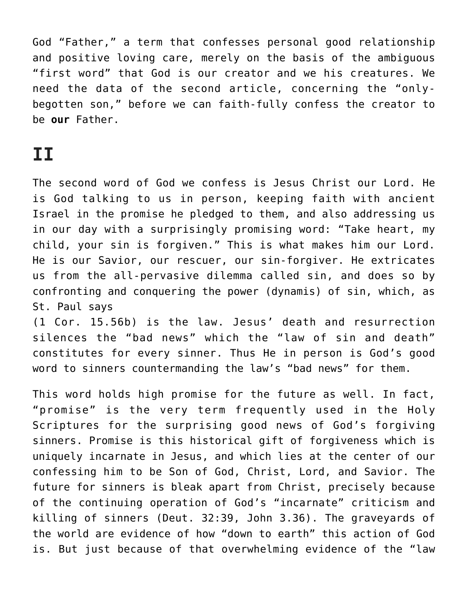God "Father," a term that confesses personal good relationship and positive loving care, merely on the basis of the ambiguous "first word" that God is our creator and we his creatures. We need the data of the second article, concerning the "onlybegotten son," before we can faith-fully confess the creator to be **our** Father.

## **II**

The second word of God we confess is Jesus Christ our Lord. He is God talking to us in person, keeping faith with ancient Israel in the promise he pledged to them, and also addressing us in our day with a surprisingly promising word: "Take heart, my child, your sin is forgiven." This is what makes him our Lord. He is our Savior, our rescuer, our sin-forgiver. He extricates us from the all-pervasive dilemma called sin, and does so by confronting and conquering the power (dynamis) of sin, which, as St. Paul says

(1 Cor. 15.56b) is the law. Jesus' death and resurrection silences the "bad news" which the "law of sin and death" constitutes for every sinner. Thus He in person is God's good word to sinners countermanding the law's "bad news" for them.

This word holds high promise for the future as well. In fact, "promise" is the very term frequently used in the Holy Scriptures for the surprising good news of God's forgiving sinners. Promise is this historical gift of forgiveness which is uniquely incarnate in Jesus, and which lies at the center of our confessing him to be Son of God, Christ, Lord, and Savior. The future for sinners is bleak apart from Christ, precisely because of the continuing operation of God's "incarnate" criticism and killing of sinners (Deut. 32:39, John 3.36). The graveyards of the world are evidence of how "down to earth" this action of God is. But just because of that overwhelming evidence of the "law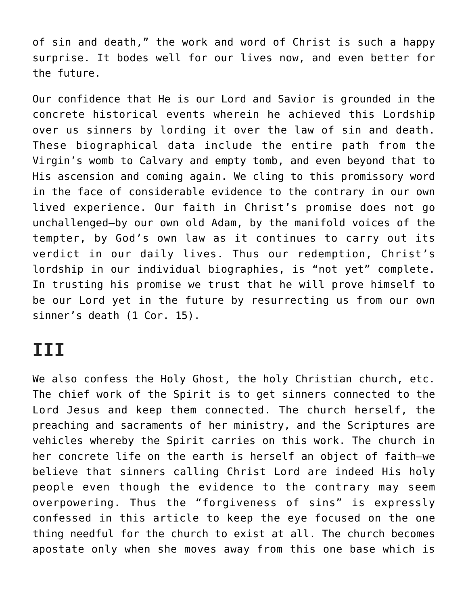of sin and death," the work and word of Christ is such a happy surprise. It bodes well for our lives now, and even better for the future.

Our confidence that He is our Lord and Savior is grounded in the concrete historical events wherein he achieved this Lordship over us sinners by lording it over the law of sin and death. These biographical data include the entire path from the Virgin's womb to Calvary and empty tomb, and even beyond that to His ascension and coming again. We cling to this promissory word in the face of considerable evidence to the contrary in our own lived experience. Our faith in Christ's promise does not go unchallenged—by our own old Adam, by the manifold voices of the tempter, by God's own law as it continues to carry out its verdict in our daily lives. Thus our redemption, Christ's lordship in our individual biographies, is "not yet" complete. In trusting his promise we trust that he will prove himself to be our Lord yet in the future by resurrecting us from our own sinner's death (1 Cor. 15).

## **III**

We also confess the Holy Ghost, the holy Christian church, etc. The chief work of the Spirit is to get sinners connected to the Lord Jesus and keep them connected. The church herself, the preaching and sacraments of her ministry, and the Scriptures are vehicles whereby the Spirit carries on this work. The church in her concrete life on the earth is herself an object of faith—we believe that sinners calling Christ Lord are indeed His holy people even though the evidence to the contrary may seem overpowering. Thus the "forgiveness of sins" is expressly confessed in this article to keep the eye focused on the one thing needful for the church to exist at all. The church becomes apostate only when she moves away from this one base which is